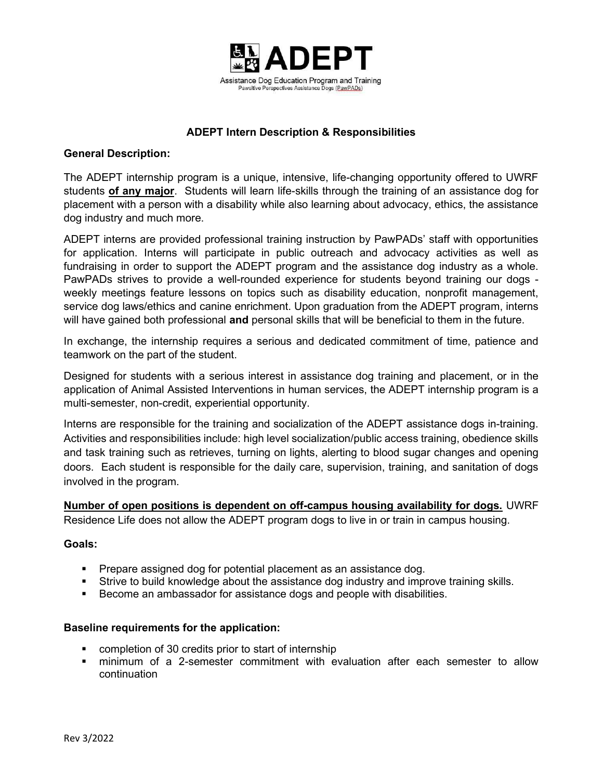

# ADEPT Intern Description & Responsibilities

### General Description:

The ADEPT internship program is a unique, intensive, life-changing opportunity offered to UWRF students of any major. Students will learn life-skills through the training of an assistance dog for placement with a person with a disability while also learning about advocacy, ethics, the assistance dog industry and much more.

ADEPT interns are provided professional training instruction by PawPADs' staff with opportunities for application. Interns will participate in public outreach and advocacy activities as well as fundraising in order to support the ADEPT program and the assistance dog industry as a whole. PawPADs strives to provide a well-rounded experience for students beyond training our dogs weekly meetings feature lessons on topics such as disability education, nonprofit management, service dog laws/ethics and canine enrichment. Upon graduation from the ADEPT program, interns will have gained both professional and personal skills that will be beneficial to them in the future.

In exchange, the internship requires a serious and dedicated commitment of time, patience and teamwork on the part of the student.

Designed for students with a serious interest in assistance dog training and placement, or in the application of Animal Assisted Interventions in human services, the ADEPT internship program is a multi-semester, non-credit, experiential opportunity.

Interns are responsible for the training and socialization of the ADEPT assistance dogs in-training. Activities and responsibilities include: high level socialization/public access training, obedience skills and task training such as retrieves, turning on lights, alerting to blood sugar changes and opening doors. Each student is responsible for the daily care, supervision, training, and sanitation of dogs involved in the program.

Number of open positions is dependent on off-campus housing availability for dogs. UWRF Residence Life does not allow the ADEPT program dogs to live in or train in campus housing.

#### Goals:

- **Prepare assigned dog for potential placement as an assistance dog.**
- Strive to build knowledge about the assistance dog industry and improve training skills.
- Become an ambassador for assistance dogs and people with disabilities.

#### Baseline requirements for the application:

- completion of 30 credits prior to start of internship
- minimum of a 2-semester commitment with evaluation after each semester to allow continuation